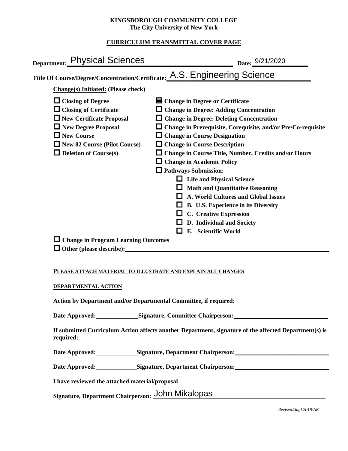### **KINGSBOROUGH COMMUNITY COLLEGE The City University of New York**

# **CURRICULUM TRANSMITTAL COVER PAGE**

| Date: 9/21/2020                                                                                                                                                                                                                                                                                                                                                                                                                                                                                                                                                                                                                                                               |
|-------------------------------------------------------------------------------------------------------------------------------------------------------------------------------------------------------------------------------------------------------------------------------------------------------------------------------------------------------------------------------------------------------------------------------------------------------------------------------------------------------------------------------------------------------------------------------------------------------------------------------------------------------------------------------|
| Title Of Course/Degree/Concentration/Certificate: A.S. Engineering Science                                                                                                                                                                                                                                                                                                                                                                                                                                                                                                                                                                                                    |
|                                                                                                                                                                                                                                                                                                                                                                                                                                                                                                                                                                                                                                                                               |
| ■ Change in Degree or Certificate<br>$\Box$ Change in Degree: Adding Concentration<br>$\Box$ Change in Degree: Deleting Concentration<br>$\Box$ Change in Prerequisite, Corequisite, and/or Pre/Co-requisite<br>$\Box$ Change in Course Designation<br>$\Box$ Change in Course Description<br>$\Box$ Change in Course Title, Number, Credits and/or Hours<br><b>Change in Academic Policy</b><br>$\Box$ Pathways Submission:<br><b>Life and Physical Science</b><br><b>Math and Quantitative Reasoning</b><br>A. World Cultures and Global Issues<br>B. U.S. Experience in its Diversity<br>$\Box$ C. Creative Expression<br>D. Individual and Society<br>E. Scientific World |
| $\Box$ Change in Program Learning Outcomes                                                                                                                                                                                                                                                                                                                                                                                                                                                                                                                                                                                                                                    |
|                                                                                                                                                                                                                                                                                                                                                                                                                                                                                                                                                                                                                                                                               |

### **PLEASE ATTACH MATERIAL TO ILLUSTRATE AND EXPLAIN ALL CHANGES**

### **DEPARTMENTAL ACTION**

**Action by Department and/or Departmental Committee, if required:**

Date Approved: Signature, Committee Chairperson:

**If submitted Curriculum Action affects another Department, signature of the affected Department(s) is required:**

Date Approved: Signature, Department Chairperson:

Date Approved: Signature, Department Chairperson: Networking the Approved: Networking State Approved:

**I have reviewed the attached material/proposal**

Signature, Department Chairperson: John Mikalopas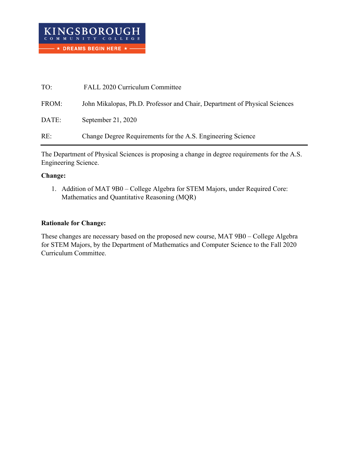| TO:   | FALL 2020 Curriculum Committee                                             |
|-------|----------------------------------------------------------------------------|
| FROM: | John Mikalopas, Ph.D. Professor and Chair, Department of Physical Sciences |
| DATE: | September 21, 2020                                                         |
| RE:   | Change Degree Requirements for the A.S. Engineering Science                |

The Department of Physical Sciences is proposing a change in degree requirements for the A.S. Engineering Science.

## **Change:**

1. Addition of MAT 9B0 – College Algebra for STEM Majors, under Required Core: Mathematics and Quantitative Reasoning (MQR)

# **Rationale for Change:**

These changes are necessary based on the proposed new course, MAT 9B0 – College Algebra for STEM Majors, by the Department of Mathematics and Computer Science to the Fall 2020 Curriculum Committee.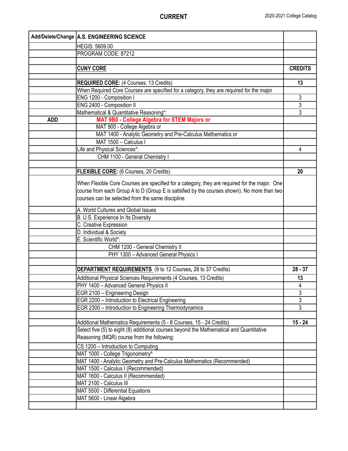|            | Add/Delete/Change   A.S. ENGINEERING SCIENCE                                                  |                |
|------------|-----------------------------------------------------------------------------------------------|----------------|
|            | HEGIS: 5609.00                                                                                |                |
|            | PROGRAM CODE: 87212                                                                           |                |
|            |                                                                                               |                |
|            | <b>CUNY CORE</b>                                                                              | <b>CREDITS</b> |
|            |                                                                                               |                |
|            | <b>REQUIRED CORE: (4 Courses, 13 Credits)</b>                                                 | 13             |
|            | When Required Core Courses are specified for a category, they are required for the major      |                |
|            | ENG 1200 - Composition I                                                                      | 3              |
|            | ENG 2400 - Composition II                                                                     | 3              |
|            | Mathematical & Quantitative Reasoning*:                                                       | 3              |
| <b>ADD</b> | MAT 9B0 - College Algebra for STEM Majors or                                                  |                |
|            | MAT 900 - College Algebra or                                                                  |                |
|            | MAT 1400 - Analytic Geometry and Pre-Calculus Mathematics or                                  |                |
|            | MAT 1500 - Calculus I                                                                         |                |
|            | Life and Physical Sciences*:                                                                  | 4              |
|            | CHM 1100 - General Chemistry I                                                                |                |
|            |                                                                                               |                |
|            | FLEXIBLE CORE: (6 Courses, 20 Credits)                                                        | 20             |
|            | When Flexible Core Courses are specified for a category, they are required for the major. One |                |
|            | course from each Group A to D (Group E is satisfied by the courses shown). No more than two   |                |
|            | courses can be selected from the same discipline.                                             |                |
|            | A. World Cultures and Global Issues                                                           |                |
|            | B. U.S. Experience In Its Diversity                                                           |                |
|            | C. Creative Expression                                                                        |                |
|            | D. Individual & Society                                                                       |                |
|            | E. Scientific World*:                                                                         |                |
|            | CHM 1200 - General Chemistry II                                                               |                |
|            | PHY 1300 - Advanced General Physics I                                                         |                |
|            |                                                                                               |                |
|            | <b>DEPARTMENT REQUIREMENTS</b> (9 to 12 Courses, 28 to 37 Credits)                            | $28 - 37$      |
|            | Additional Physical Sciences Requirements (4 Courses, 13 Credits)                             | 13             |
|            | PHY 1400 - Advanced General Physics II                                                        | 4              |
|            | EGR 2100 - Engineering Design                                                                 | 3              |
|            | EGR 2200 - Introduction to Electrical Engineering                                             | 3              |
|            | EGR 2300 - Introduction to Engineering Thermodynamics                                         | 3              |
|            |                                                                                               |                |
|            | Additional Mathematics Requirements (5 - 8 Courses, 15 - 24 Credits)                          | $15 - 24$      |
|            | Select five (5) to eight (8) additional courses beyond the Mathematical and Quantitative      |                |
|            | Reasoning (MQR) course from the following:                                                    |                |
|            | CS 1200 - Introduction to Computing                                                           |                |
|            | MAT 1000 - College Trigonometry^                                                              |                |
|            | MAT 1400 - Analytic Geometry and Pre-Calculus Mathematics (Recommended)                       |                |
|            | MAT 1500 - Calculus I (Recommended)                                                           |                |
|            | MAT 1600 - Calculus II (Recommended)                                                          |                |
|            | MAT 2100 - Calculus III                                                                       |                |
|            | MAT 5500 - Differential Equations                                                             |                |
|            | MAT 5600 - Linear Algebra                                                                     |                |
|            |                                                                                               |                |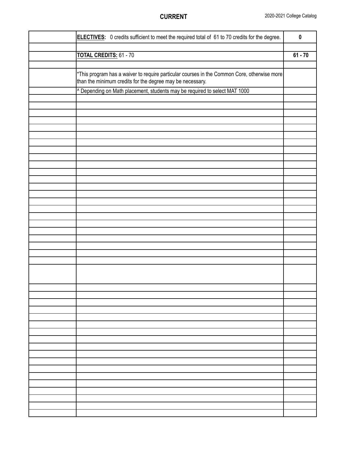| ELECTIVES: 0 credits sufficient to meet the required total of 61 to 70 credits for the degree.                                                           | $\pmb{0}$ |
|----------------------------------------------------------------------------------------------------------------------------------------------------------|-----------|
|                                                                                                                                                          |           |
| <b>TOTAL CREDITS: 61 - 70</b>                                                                                                                            | $61 - 70$ |
|                                                                                                                                                          |           |
| *This program has a waiver to require particular courses in the Common Core, otherwise more<br>than the minimum credits for the degree may be necessary. |           |
| ^ Depending on Math placement, students may be required to select MAT 1000                                                                               |           |
|                                                                                                                                                          |           |
|                                                                                                                                                          |           |
|                                                                                                                                                          |           |
|                                                                                                                                                          |           |
|                                                                                                                                                          |           |
|                                                                                                                                                          |           |
|                                                                                                                                                          |           |
|                                                                                                                                                          |           |
|                                                                                                                                                          |           |
|                                                                                                                                                          |           |
|                                                                                                                                                          |           |
|                                                                                                                                                          |           |
|                                                                                                                                                          |           |
|                                                                                                                                                          |           |
|                                                                                                                                                          |           |
|                                                                                                                                                          |           |
|                                                                                                                                                          |           |
|                                                                                                                                                          |           |
|                                                                                                                                                          |           |
|                                                                                                                                                          |           |
|                                                                                                                                                          |           |
|                                                                                                                                                          |           |
|                                                                                                                                                          |           |
|                                                                                                                                                          |           |
|                                                                                                                                                          |           |
|                                                                                                                                                          |           |
|                                                                                                                                                          |           |
|                                                                                                                                                          |           |
|                                                                                                                                                          |           |
|                                                                                                                                                          |           |
|                                                                                                                                                          |           |
|                                                                                                                                                          |           |
|                                                                                                                                                          |           |
|                                                                                                                                                          |           |
|                                                                                                                                                          |           |
|                                                                                                                                                          |           |
|                                                                                                                                                          |           |
|                                                                                                                                                          |           |
|                                                                                                                                                          |           |
|                                                                                                                                                          |           |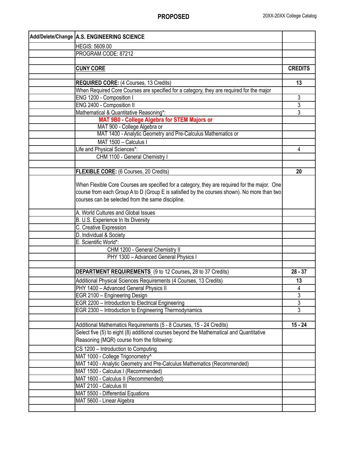| Add/Delete/Change A.S. ENGINEERING SCIENCE                                                                                                                                                                                                        |                |
|---------------------------------------------------------------------------------------------------------------------------------------------------------------------------------------------------------------------------------------------------|----------------|
| <b>HEGIS: 5609.00</b>                                                                                                                                                                                                                             |                |
| PROGRAM CODE: 87212                                                                                                                                                                                                                               |                |
|                                                                                                                                                                                                                                                   |                |
| <b>CUNY CORE</b>                                                                                                                                                                                                                                  | <b>CREDITS</b> |
|                                                                                                                                                                                                                                                   |                |
| <b>REQUIRED CORE:</b> (4 Courses, 13 Credits)                                                                                                                                                                                                     | 13             |
| When Required Core Courses are specified for a category, they are required for the major                                                                                                                                                          |                |
| ENG 1200 - Composition I                                                                                                                                                                                                                          | 3              |
| ENG 2400 - Composition II                                                                                                                                                                                                                         | 3              |
| Mathematical & Quantitative Reasoning*:                                                                                                                                                                                                           | $\overline{3}$ |
| MAT 9B0 - College Algebra for STEM Majors or                                                                                                                                                                                                      |                |
| MAT 900 - College Algebra or                                                                                                                                                                                                                      |                |
| MAT 1400 - Analytic Geometry and Pre-Calculus Mathematics or                                                                                                                                                                                      |                |
| MAT 1500 - Calculus I                                                                                                                                                                                                                             |                |
| Life and Physical Sciences*:                                                                                                                                                                                                                      | 4              |
| CHM 1100 - General Chemistry I                                                                                                                                                                                                                    |                |
|                                                                                                                                                                                                                                                   |                |
| FLEXIBLE CORE: (6 Courses, 20 Credits)                                                                                                                                                                                                            | 20             |
| When Flexible Core Courses are specified for a category, they are required for the major. One<br>course from each Group A to D (Group E is satisfied by the courses shown). No more than two<br>courses can be selected from the same discipline. |                |
| A. World Cultures and Global Issues                                                                                                                                                                                                               |                |
| B. U.S. Experience In Its Diversity                                                                                                                                                                                                               |                |
| C. Creative Expression                                                                                                                                                                                                                            |                |
| D. Individual & Society                                                                                                                                                                                                                           |                |
| E. Scientific World*:                                                                                                                                                                                                                             |                |
| CHM 1200 - General Chemistry II                                                                                                                                                                                                                   |                |
| PHY 1300 - Advanced General Physics I                                                                                                                                                                                                             |                |
|                                                                                                                                                                                                                                                   |                |
| <b>DEPARTMENT REQUIREMENTS</b> (9 to 12 Courses, 28 to 37 Credits)                                                                                                                                                                                | $28 - 37$      |
| Additional Physical Sciences Requirements (4 Courses, 13 Credits)                                                                                                                                                                                 | 13             |
| PHY 1400 - Advanced General Physics II                                                                                                                                                                                                            | 4              |
| EGR 2100 - Engineering Design                                                                                                                                                                                                                     | $\overline{3}$ |
| EGR 2200 - Introduction to Electrical Engineering                                                                                                                                                                                                 | 3              |
| EGR 2300 - Introduction to Engineering Thermodynamics                                                                                                                                                                                             | 3              |
|                                                                                                                                                                                                                                                   | $15 - 24$      |
| Additional Mathematics Requirements (5 - 8 Courses, 15 - 24 Credits)<br>Select five (5) to eight (8) additional courses beyond the Mathematical and Quantitative                                                                                  |                |
| Reasoning (MQR) course from the following:                                                                                                                                                                                                        |                |
| CS 1200 - Introduction to Computing                                                                                                                                                                                                               |                |
| MAT 1000 - College Trigonometry^                                                                                                                                                                                                                  |                |
| MAT 1400 - Analytic Geometry and Pre-Calculus Mathematics (Recommended)                                                                                                                                                                           |                |
| MAT 1500 - Calculus I (Recommended)                                                                                                                                                                                                               |                |
| MAT 1600 - Calculus II (Recommended)                                                                                                                                                                                                              |                |
| MAT 2100 - Calculus III                                                                                                                                                                                                                           |                |
| MAT 5500 - Differential Equations                                                                                                                                                                                                                 |                |
| MAT 5600 - Linear Algebra                                                                                                                                                                                                                         |                |
|                                                                                                                                                                                                                                                   |                |